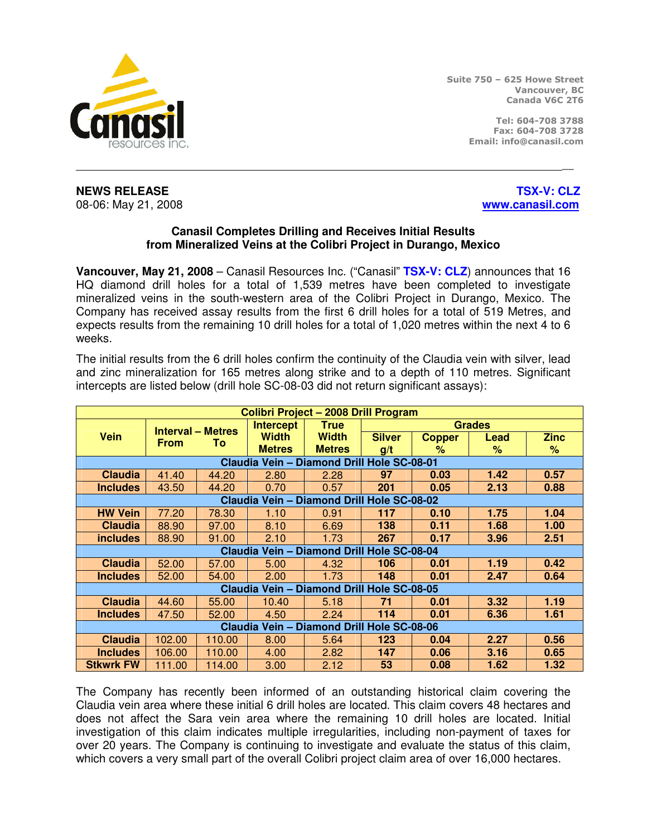

Suite 750 – 625 Howe Street Vancouver, BC Canada V6C 2T6

> Tel: 604-708 3788 Fax: 604-708 3728 Email: info@canasil.com

**NEWS RELEASE** THE RELOCAL CONSTRUCTION OF THE RELOCAL CONSTRUCT OF THE RELOCAL CONSTRUCT OF THE RELOCAL CONSTRUCT. 08-06: May 21, 2008 **www.canasil.com**

## **Canasil Completes Drilling and Receives Initial Results from Mineralized Veins at the Colibri Project in Durango, Mexico**

\_\_

**Vancouver, May 21, 2008** – Canasil Resources Inc. ("Canasil" **TSX-V: CLZ**) announces that 16 HQ diamond drill holes for a total of 1,539 metres have been completed to investigate mineralized veins in the south-western area of the Colibri Project in Durango, Mexico. The Company has received assay results from the first 6 drill holes for a total of 519 Metres, and expects results from the remaining 10 drill holes for a total of 1,020 metres within the next 4 to 6 weeks.

The initial results from the 6 drill holes confirm the continuity of the Claudia vein with silver, lead and zinc mineralization for 165 metres along strike and to a depth of 110 metres. Significant intercepts are listed below (drill hole SC-08-03 did not return significant assays):

| Colibri Project - 2008 Drill Program       |             |                          |                  |               |               |               |      |             |
|--------------------------------------------|-------------|--------------------------|------------------|---------------|---------------|---------------|------|-------------|
|                                            |             | <b>Interval - Metres</b> | <b>Intercept</b> | <b>True</b>   | <b>Grades</b> |               |      |             |
| <b>Vein</b>                                | <b>From</b> | To                       | <b>Width</b>     | <b>Width</b>  | <b>Silver</b> | <b>Copper</b> | Lead | <b>Zinc</b> |
|                                            |             |                          | <b>Metres</b>    | <b>Metres</b> | g/t           | ℅             | %    | %           |
| Claudia Vein - Diamond Drill Hole SC-08-01 |             |                          |                  |               |               |               |      |             |
| <b>Claudia</b>                             | 41.40       | 44.20                    | 2.80             | 2.28          | 97            | 0.03          | 1.42 | 0.57        |
| <b>Includes</b>                            | 43.50       | 44.20                    | 0.70             | 0.57          | 201           | 0.05          | 2.13 | 0.88        |
| Claudia Vein - Diamond Drill Hole SC-08-02 |             |                          |                  |               |               |               |      |             |
| <b>HW Vein</b>                             | 77.20       | 78.30                    | 1.10             | 0.91          | 117           | 0.10          | 1.75 | 1.04        |
| <b>Claudia</b>                             | 88.90       | 97.00                    | 8.10             | 6.69          | 138           | 0.11          | 1.68 | 1.00        |
| <i>includes</i>                            | 88.90       | 91.00                    | 2.10             | 1.73          | 267           | 0.17          | 3.96 | 2.51        |
| Claudia Vein - Diamond Drill Hole SC-08-04 |             |                          |                  |               |               |               |      |             |
| <b>Claudia</b>                             | 52.00       | 57.00                    | 5.00             | 4.32          | 106           | 0.01          | 1.19 | 0.42        |
| <b>Includes</b>                            | 52.00       | 54.00                    | 2.00             | 1.73          | 148           | 0.01          | 2.47 | 0.64        |
| Claudia Vein - Diamond Drill Hole SC-08-05 |             |                          |                  |               |               |               |      |             |
| <b>Claudia</b>                             | 44.60       | 55.00                    | 10.40            | 5.18          | 71            | 0.01          | 3.32 | 1.19        |
| <b>Includes</b>                            | 47.50       | 52.00                    | 4.50             | 2.24          | 114           | 0.01          | 6.36 | 1.61        |
| Claudia Vein - Diamond Drill Hole SC-08-06 |             |                          |                  |               |               |               |      |             |
| <b>Claudia</b>                             | 102.00      | 110.00                   | 8.00             | 5.64          | 123           | 0.04          | 2.27 | 0.56        |
| <b>Includes</b>                            | 106.00      | 110.00                   | 4.00             | 2.82          | 147           | 0.06          | 3.16 | 0.65        |
| <b>Stkwrk FW</b>                           | 111.00      | 114.00                   | 3.00             | 2.12          | 53            | 0.08          | 1.62 | 1.32        |

The Company has recently been informed of an outstanding historical claim covering the Claudia vein area where these initial 6 drill holes are located. This claim covers 48 hectares and does not affect the Sara vein area where the remaining 10 drill holes are located. Initial investigation of this claim indicates multiple irregularities, including non-payment of taxes for over 20 years. The Company is continuing to investigate and evaluate the status of this claim, which covers a very small part of the overall Colibri project claim area of over 16,000 hectares.